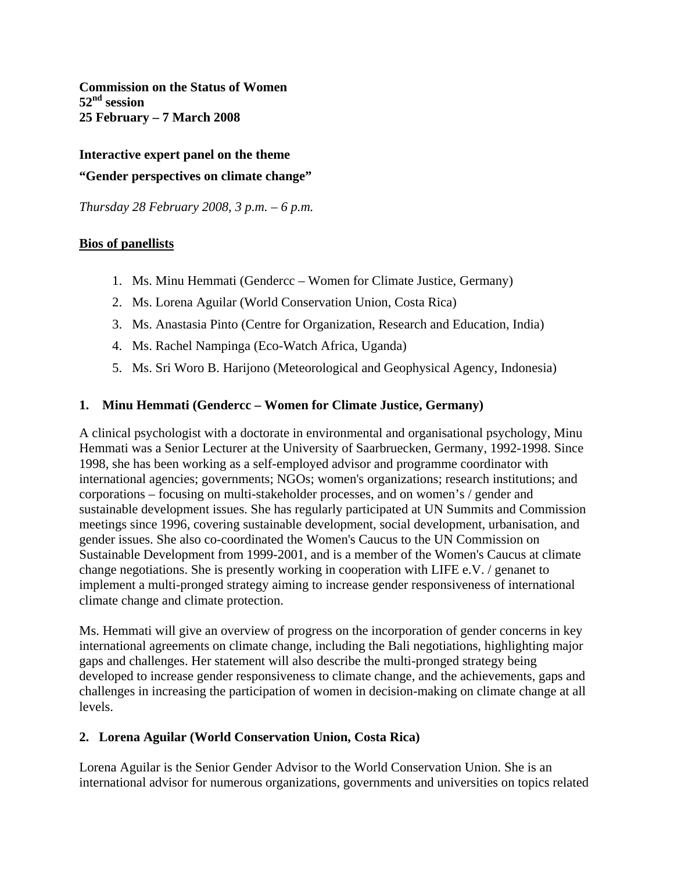**Commission on the Status of Women 52nd session 25 February – 7 March 2008** 

**Interactive expert panel on the theme "Gender perspectives on climate change"** 

*Thursday 28 February 2008, 3 p.m. – 6 p.m.* 

### **Bios of panellists**

- 1. Ms. Minu Hemmati (Gendercc Women for Climate Justice, Germany)
- 2. Ms. Lorena Aguilar (World Conservation Union, Costa Rica)
- 3. Ms. Anastasia Pinto (Centre for Organization, Research and Education, India)
- 4. Ms. Rachel Nampinga (Eco-Watch Africa, Uganda)
- 5. Ms. Sri Woro B. Harijono (Meteorological and Geophysical Agency, Indonesia)

### **1. Minu Hemmati (Gendercc – Women for Climate Justice, Germany)**

A clinical psychologist with a doctorate in environmental and organisational psychology, Minu Hemmati was a Senior Lecturer at the University of Saarbruecken, Germany, 1992-1998. Since 1998, she has been working as a self-employed advisor and programme coordinator with international agencies; governments; NGOs; women's organizations; research institutions; and corporations – focusing on multi-stakeholder processes, and on women's / gender and sustainable development issues. She has regularly participated at UN Summits and Commission meetings since 1996, covering sustainable development, social development, urbanisation, and gender issues. She also co-coordinated the Women's Caucus to the UN Commission on Sustainable Development from 1999-2001, and is a member of the Women's Caucus at climate change negotiations. She is presently working in cooperation with LIFE e.V. / genanet to implement a multi-pronged strategy aiming to increase gender responsiveness of international climate change and climate protection.

Ms. Hemmati will give an overview of progress on the incorporation of gender concerns in key international agreements on climate change, including the Bali negotiations, highlighting major gaps and challenges. Her statement will also describe the multi-pronged strategy being developed to increase gender responsiveness to climate change, and the achievements, gaps and challenges in increasing the participation of women in decision-making on climate change at all levels.

#### **2. Lorena Aguilar (World Conservation Union, Costa Rica)**

Lorena Aguilar is the Senior Gender Advisor to the World Conservation Union. She is an international advisor for numerous organizations, governments and universities on topics related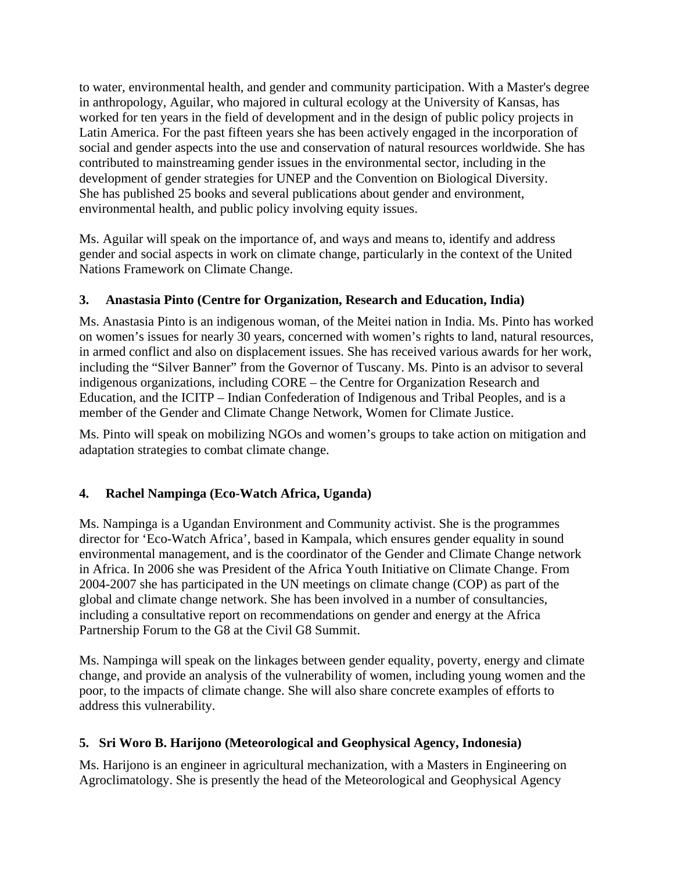to water, environmental health, and gender and community participation. With a Master's degree in anthropology, Aguilar, who majored in cultural ecology at the University of Kansas, has worked for ten years in the field of development and in the design of public policy projects in Latin America. For the past fifteen years she has been actively engaged in the incorporation of social and gender aspects into the use and conservation of natural resources worldwide. She has contributed to mainstreaming gender issues in the environmental sector, including in the development of gender strategies for UNEP and the Convention on Biological Diversity. She has published 25 books and several publications about gender and environment, environmental health, and public policy involving equity issues.

Ms. Aguilar will speak on the importance of, and ways and means to, identify and address gender and social aspects in work on climate change, particularly in the context of the United Nations Framework on Climate Change.

# **3. Anastasia Pinto (Centre for Organization, Research and Education, India)**

Ms. Anastasia Pinto is an indigenous woman, of the Meitei nation in India. Ms. Pinto has worked on women's issues for nearly 30 years, concerned with women's rights to land, natural resources, in armed conflict and also on displacement issues. She has received various awards for her work, including the "Silver Banner" from the Governor of Tuscany. Ms. Pinto is an advisor to several indigenous organizations, including CORE – the Centre for Organization Research and Education, and the ICITP – Indian Confederation of Indigenous and Tribal Peoples, and is a member of the Gender and Climate Change Network, Women for Climate Justice.

Ms. Pinto will speak on mobilizing NGOs and women's groups to take action on mitigation and adaptation strategies to combat climate change.

# **4. Rachel Nampinga (Eco-Watch Africa, Uganda)**

Ms. Nampinga is a Ugandan Environment and Community activist. She is the programmes director for 'Eco-Watch Africa', based in Kampala, which ensures gender equality in sound environmental management, and is the coordinator of the Gender and Climate Change network in Africa. In 2006 she was President of the Africa Youth Initiative on Climate Change. From 2004-2007 she has participated in the UN meetings on climate change (COP) as part of the global and climate change network. She has been involved in a number of consultancies, including a consultative report on recommendations on gender and energy at the Africa Partnership Forum to the G8 at the Civil G8 Summit.

Ms. Nampinga will speak on the linkages between gender equality, poverty, energy and climate change, and provide an analysis of the vulnerability of women, including young women and the poor, to the impacts of climate change. She will also share concrete examples of efforts to address this vulnerability.

## **5. Sri Woro B. Harijono (Meteorological and Geophysical Agency, Indonesia)**

Ms. Harijono is an engineer in agricultural mechanization, with a Masters in Engineering on Agroclimatology. She is presently the head of the Meteorological and Geophysical Agency